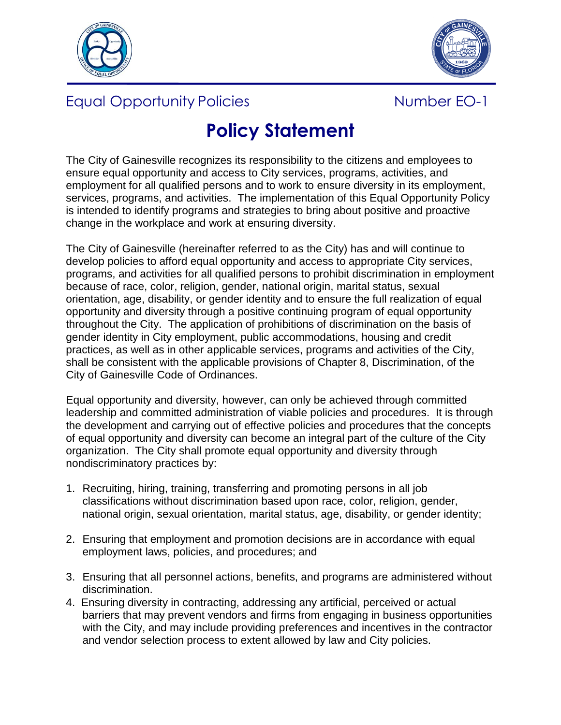



## Equal Opportunity Policies Number EO-1



## **Policy Statement**

The City of Gainesville recognizes its responsibility to the citizens and employees to ensure equal opportunity and access to City services, programs, activities, and employment for all qualified persons and to work to ensure diversity in its employment, services, programs, and activities. The implementation of this Equal Opportunity Policy is intended to identify programs and strategies to bring about positive and proactive change in the workplace and work at ensuring diversity.

The City of Gainesville (hereinafter referred to as the City) has and will continue to develop policies to afford equal opportunity and access to appropriate City services, programs, and activities for all qualified persons to prohibit discrimination in employment because of race, color, religion, gender, national origin, marital status, sexual orientation, age, disability, or gender identity and to ensure the full realization of equal opportunity and diversity through a positive continuing program of equal opportunity throughout the City. The application of prohibitions of discrimination on the basis of gender identity in City employment, public accommodations, housing and credit practices, as well as in other applicable services, programs and activities of the City, shall be consistent with the applicable provisions of Chapter 8, Discrimination, of the City of Gainesville Code of Ordinances.

Equal opportunity and diversity, however, can only be achieved through committed leadership and committed administration of viable policies and procedures. It is through the development and carrying out of effective policies and procedures that the concepts of equal opportunity and diversity can become an integral part of the culture of the City organization. The City shall promote equal opportunity and diversity through nondiscriminatory practices by:

- 1. Recruiting, hiring, training, transferring and promoting persons in all job classifications without discrimination based upon race, color, religion, gender, national origin, sexual orientation, marital status, age, disability, or gender identity;
- 2. Ensuring that employment and promotion decisions are in accordance with equal employment laws, policies, and procedures; and
- 3. Ensuring that all personnel actions, benefits, and programs are administered without discrimination.
- 4. Ensuring diversity in contracting, addressing any artificial, perceived or actual barriers that may prevent vendors and firms from engaging in business opportunities with the City, and may include providing preferences and incentives in the contractor and vendor selection process to extent allowed by law and City policies.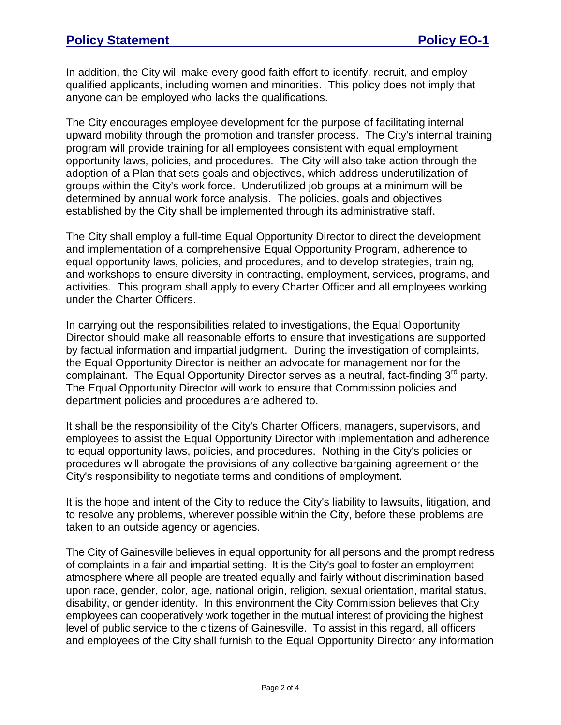In addition, the City will make every good faith effort to identify, recruit, and employ qualified applicants, including women and minorities. This policy does not imply that anyone can be employed who lacks the qualifications.

The City encourages employee development for the purpose of facilitating internal upward mobility through the promotion and transfer process. The City's internal training program will provide training for all employees consistent with equal employment opportunity laws, policies, and procedures. The City will also take action through the adoption of a Plan that sets goals and objectives, which address underutilization of groups within the City's work force. Underutilized job groups at a minimum will be determined by annual work force analysis. The policies, goals and objectives established by the City shall be implemented through its administrative staff.

The City shall employ a full-time Equal Opportunity Director to direct the development and implementation of a comprehensive Equal Opportunity Program, adherence to equal opportunity laws, policies, and procedures, and to develop strategies, training, and workshops to ensure diversity in contracting, employment, services, programs, and activities. This program shall apply to every Charter Officer and all employees working under the Charter Officers.

In carrying out the responsibilities related to investigations, the Equal Opportunity Director should make all reasonable efforts to ensure that investigations are supported by factual information and impartial judgment. During the investigation of complaints, the Equal Opportunity Director is neither an advocate for management nor for the complainant. The Equal Opportunity Director serves as a neutral, fact-finding 3<sup>rd</sup> party. The Equal Opportunity Director will work to ensure that Commission policies and department policies and procedures are adhered to.

It shall be the responsibility of the City's Charter Officers, managers, supervisors, and employees to assist the Equal Opportunity Director with implementation and adherence to equal opportunity laws, policies, and procedures. Nothing in the City's policies or procedures will abrogate the provisions of any collective bargaining agreement or the City's responsibility to negotiate terms and conditions of employment.

It is the hope and intent of the City to reduce the City's liability to lawsuits, litigation, and to resolve any problems, wherever possible within the City, before these problems are taken to an outside agency or agencies.

The City of Gainesville believes in equal opportunity for all persons and the prompt redress of complaints in a fair and impartial setting. It is the City's goal to foster an employment atmosphere where all people are treated equally and fairly without discrimination based upon race, gender, color, age, national origin, religion, sexual orientation, marital status, disability, or gender identity. In this environment the City Commission believes that City employees can cooperatively work together in the mutual interest of providing the highest level of public service to the citizens of Gainesville. To assist in this regard, all officers and employees of the City shall furnish to the Equal Opportunity Director any information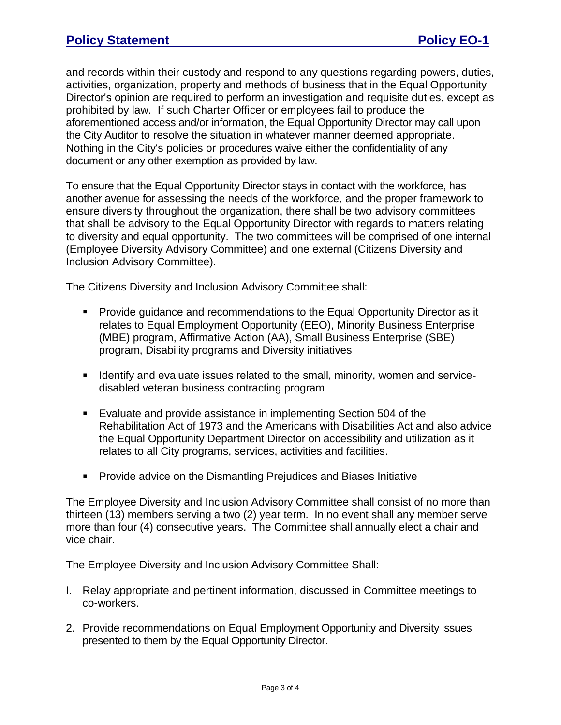and records within their custody and respond to any questions regarding powers, duties, activities, organization, property and methods of business that in the Equal Opportunity Director's opinion are required to perform an investigation and requisite duties, except as prohibited by law. If such Charter Officer or employees fail to produce the aforementioned access and/or information, the Equal Opportunity Director may call upon the City Auditor to resolve the situation in whatever manner deemed appropriate. Nothing in the City's policies or procedures waive either the confidentiality of any document or any other exemption as provided by law.

To ensure that the Equal Opportunity Director stays in contact with the workforce, has another avenue for assessing the needs of the workforce, and the proper framework to ensure diversity throughout the organization, there shall be two advisory committees that shall be advisory to the Equal Opportunity Director with regards to matters relating to diversity and equal opportunity. The two committees will be comprised of one internal (Employee Diversity Advisory Committee) and one external (Citizens Diversity and Inclusion Advisory Committee).

The Citizens Diversity and Inclusion Advisory Committee shall:

- **Provide guidance and recommendations to the Equal Opportunity Director as it** relates to Equal Employment Opportunity (EEO), Minority Business Enterprise (MBE) program, Affirmative Action (AA), Small Business Enterprise (SBE) program, Disability programs and Diversity initiatives
- **I** Identify and evaluate issues related to the small, minority, women and servicedisabled veteran business contracting program
- Evaluate and provide assistance in implementing Section 504 of the Rehabilitation Act of 1973 and the Americans with Disabilities Act and also advice the Equal Opportunity Department Director on accessibility and utilization as it relates to all City programs, services, activities and facilities.
- **Provide advice on the Dismantling Prejudices and Biases Initiative**

The Employee Diversity and Inclusion Advisory Committee shall consist of no more than thirteen (13) members serving a two (2) year term. In no event shall any member serve more than four (4) consecutive years. The Committee shall annually elect a chair and vice chair.

The Employee Diversity and Inclusion Advisory Committee Shall:

- I. Relay appropriate and pertinent information, discussed in Committee meetings to co-workers.
- 2. Provide recommendations on Equal Employment Opportunity and Diversity issues presented to them by the Equal Opportunity Director.